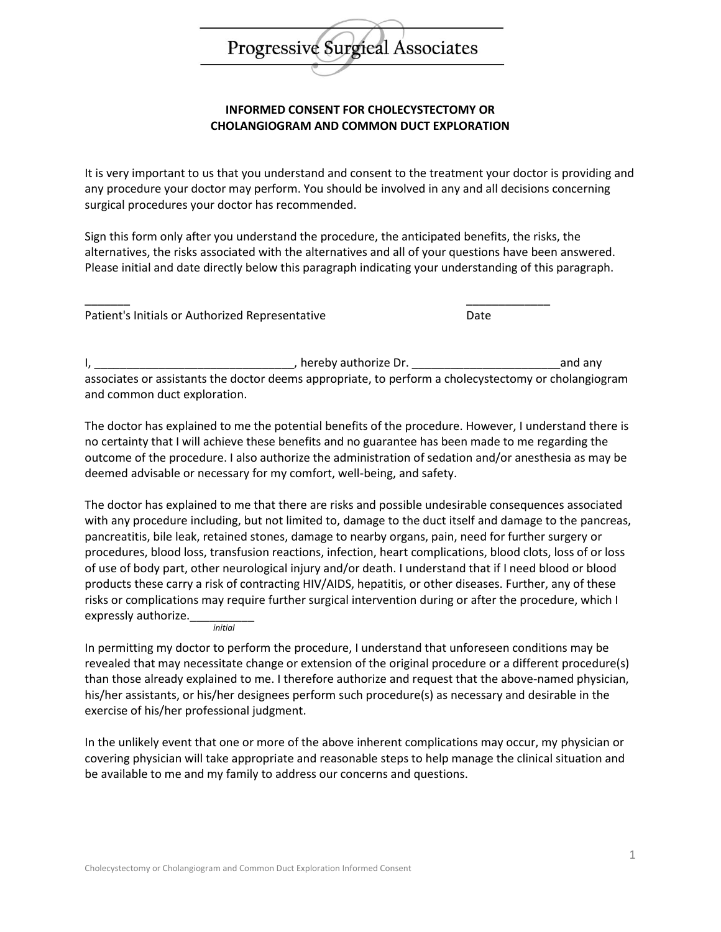## Progressive Surgical Associates

## **INFORMED CONSENT FOR CHOLECYSTECTOMY OR CHOLANGIOGRAM AND COMMON DUCT EXPLORATION**

It is very important to us that you understand and consent to the treatment your doctor is providing and any procedure your doctor may perform. You should be involved in any and all decisions concerning surgical procedures your doctor has recommended.

Sign this form only after you understand the procedure, the anticipated benefits, the risks, the alternatives, the risks associated with the alternatives and all of your questions have been answered. Please initial and date directly below this paragraph indicating your understanding of this paragraph.

\_\_\_\_\_\_\_ \_\_\_\_\_\_\_\_\_\_\_\_\_ Patient's Initials or Authorized Representative Date

I, \_\_\_\_\_\_\_\_\_\_\_\_\_\_\_\_\_\_\_\_\_\_\_\_\_\_\_\_\_\_\_, hereby authorize Dr. \_\_\_\_\_\_\_\_\_\_\_\_\_\_\_\_\_\_\_\_\_\_\_and any associates or assistants the doctor deems appropriate, to perform a cholecystectomy or cholangiogram and common duct exploration.

The doctor has explained to me the potential benefits of the procedure. However, I understand there is no certainty that I will achieve these benefits and no guarantee has been made to me regarding the outcome of the procedure. I also authorize the administration of sedation and/or anesthesia as may be deemed advisable or necessary for my comfort, well-being, and safety.

The doctor has explained to me that there are risks and possible undesirable consequences associated with any procedure including, but not limited to, damage to the duct itself and damage to the pancreas, pancreatitis, bile leak, retained stones, damage to nearby organs, pain, need for further surgery or procedures, blood loss, transfusion reactions, infection, heart complications, blood clots, loss of or loss of use of body part, other neurological injury and/or death. I understand that if I need blood or blood products these carry a risk of contracting HIV/AIDS, hepatitis, or other diseases. Further, any of these risks or complications may require further surgical intervention during or after the procedure, which I expressly authorize.

*initial*

In permitting my doctor to perform the procedure, I understand that unforeseen conditions may be revealed that may necessitate change or extension of the original procedure or a different procedure(s) than those already explained to me. I therefore authorize and request that the above-named physician, his/her assistants, or his/her designees perform such procedure(s) as necessary and desirable in the exercise of his/her professional judgment.

In the unlikely event that one or more of the above inherent complications may occur, my physician or covering physician will take appropriate and reasonable steps to help manage the clinical situation and be available to me and my family to address our concerns and questions.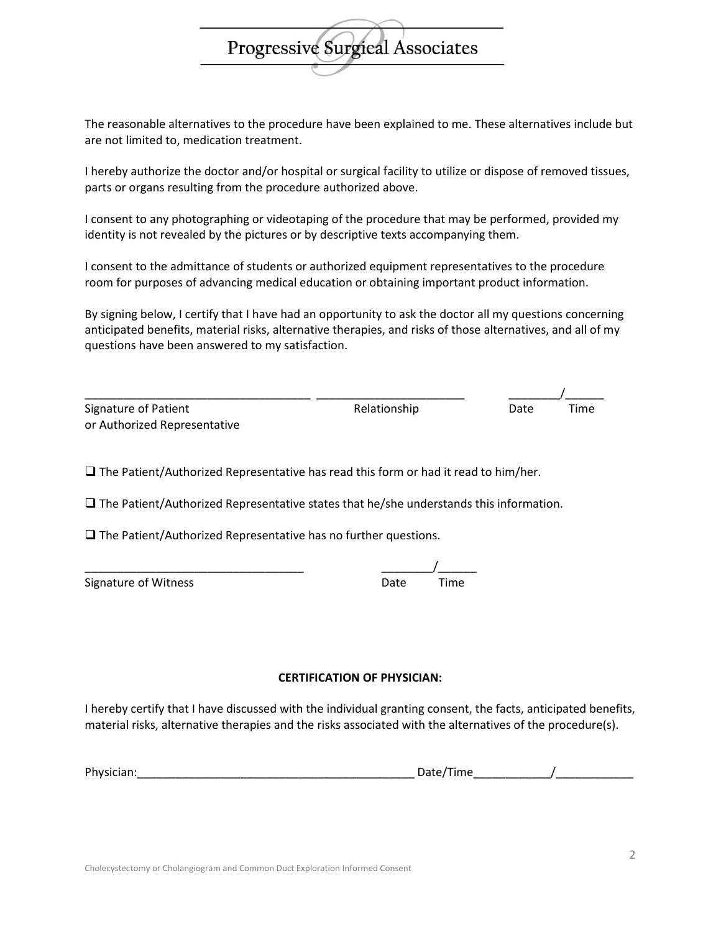The reasonable alternatives to the procedure have been explained to me. These alternatives include but are not limited to, medication treatment.

**Progressive Surgieal Associates** 

I hereby authorize the doctor and/or hospital or surgical facility to utilize or dispose of removed tissues, parts or organs resulting from the procedure authorized above.

I consent to any photographing or videotaping of the procedure that may be performed, provided my identity is not revealed by the pictures or by descriptive texts accompanying them.

I consent to the admittance of students or authorized equipment representatives to the procedure room for purposes of advancing medical education or obtaining important product information.

By signing below, I certify that I have had an opportunity to ask the doctor all my questions concerning anticipated benefits, material risks, alternative therapies, and risks of those alternatives, and all of my questions have been answered to my satisfaction.

| Signature of Patient         | Relationship | Date | Time |
|------------------------------|--------------|------|------|
| or Authorized Representative |              |      |      |

 $\Box$  The Patient/Authorized Representative has read this form or had it read to him/her.

 $\square$  The Patient/Authorized Representative states that he/she understands this information.

 $\square$  The Patient/Authorized Representative has no further questions.

| Signature of Witness | Date | Time |
|----------------------|------|------|
|                      |      |      |

\_\_\_\_\_\_\_\_\_\_\_\_\_\_\_\_\_\_\_\_\_\_\_\_\_\_\_\_\_\_\_\_\_\_ \_\_\_\_\_\_\_\_/\_\_\_\_\_\_

## **CERTIFICATION OF PHYSICIAN:**

I hereby certify that I have discussed with the individual granting consent, the facts, anticipated benefits, material risks, alternative therapies and the risks associated with the alternatives of the procedure(s).

| Phys<br>ы | $\overline{\phantom{a}}$<br>. . |  |
|-----------|---------------------------------|--|
|           |                                 |  |